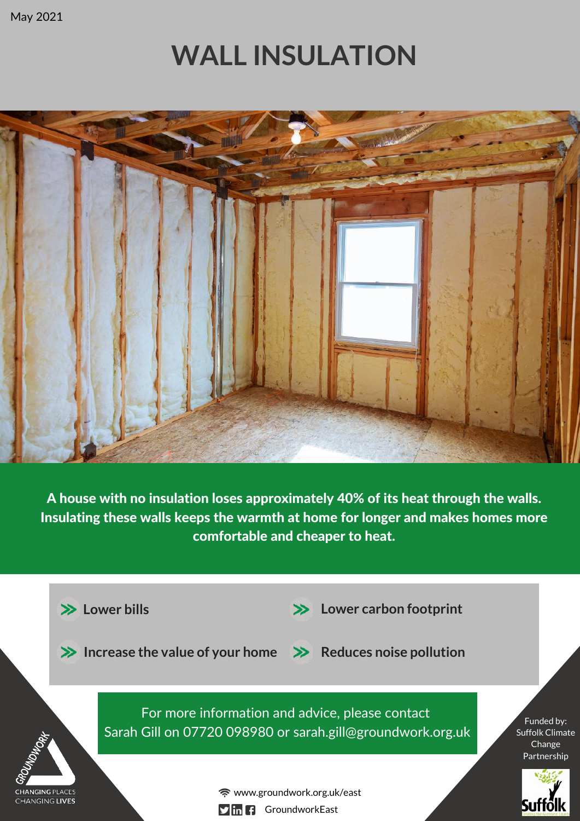May 2021

# **WALL INSULATION**



A house with no insulation loses approximately 40% of its heat through the walls. Insulating these walls keeps the warmth at home for longer and makes homes more comfortable and cheaper to heat.